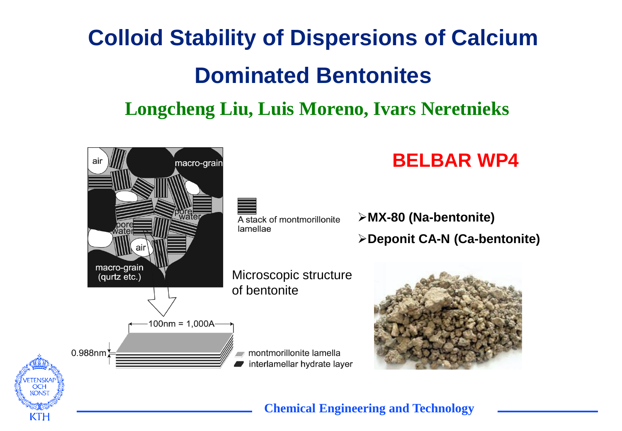### **Colloid Stability of Dispersions of Calcium Dominated Bentonites Longcheng Liu, Luis Moreno, Ivars Neretnieks**

#### **BELBAR WP4** air macro-grain **MX-80 (Na-bentonite)** A stack of montmorillonite lamellae **Deponit CA-N (Ca-bentonite)** macro-grain Microscopic structure (qurtz etc.) of bentonite $100nm = 1,000A$

 $0.988$ nm

**ETENSKA OCH KONST** 

**KTH** 

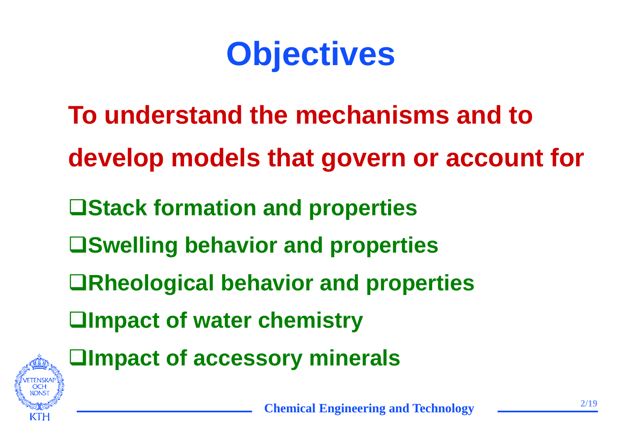### **Objectives**

- **To understand the mechanisms and to**
- **develop models that govern or account for**
- **Example 15 Stack formation and properties**
- **Example 13 Swelling behavior and properties**
- **Rheological behavior and properties**
- **Impact of water chemistry**



**Impact of accessory minerals**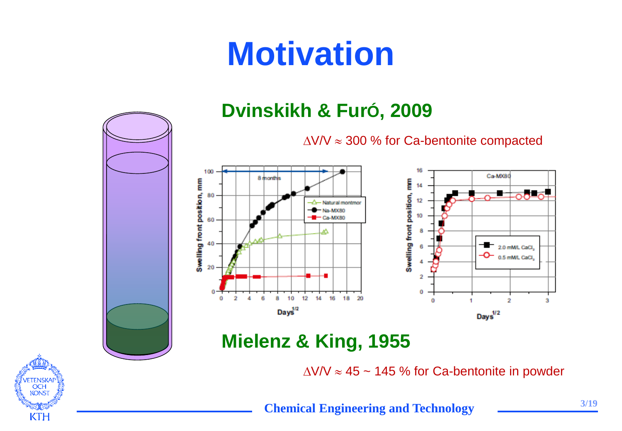**Dvinskikh & FurÓ, 2009**

 $\Delta$ V/V  $\approx$  300 % for Ca-bentonite compacted



**Mielenz & King, 1955**

 $\Delta$ V/V  $\approx$  45 ~ 145 % for Ca-bentonite in powder

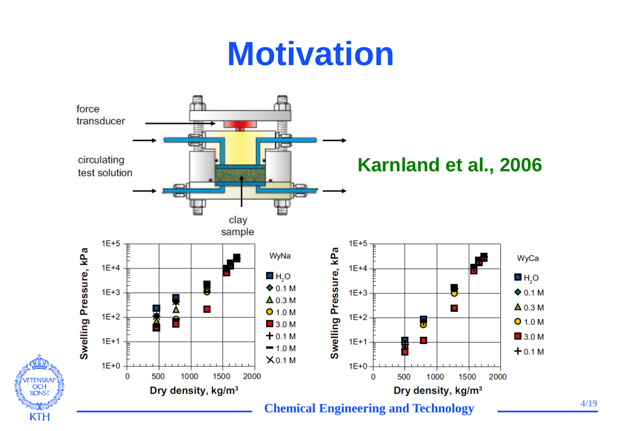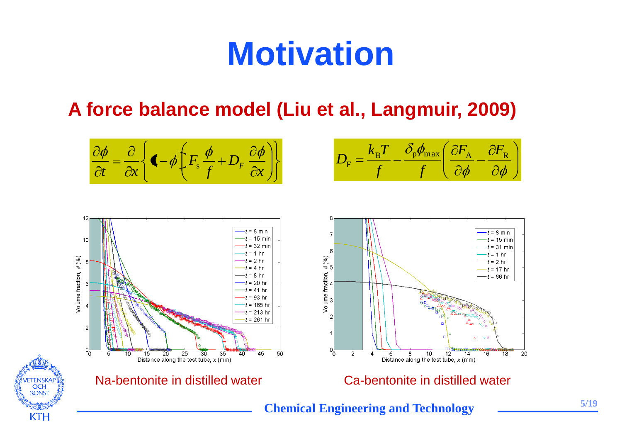#### **A force balance model (Liu et al., Langmuir, 2009)**

$$
\frac{\partial \phi}{\partial t} = \frac{\partial}{\partial x} \left\{ \mathbf{I} - \phi \left( F_s \frac{\phi}{f} + D_F \frac{\partial \phi}{\partial x} \right) \right\}
$$

$$
D_{\rm F} = \frac{k_{\rm B}T}{f} - \frac{\delta_{\rm p}\phi_{\rm max}}{f} \left(\frac{\partial F_{\rm A}}{\partial\phi} - \frac{\partial F_{\rm R}}{\partial\phi}\right)
$$



**ETENSKA OCH KONST** 

**KTH** 



Na-bentonite in distilled water **Ca-bentonite in distilled water**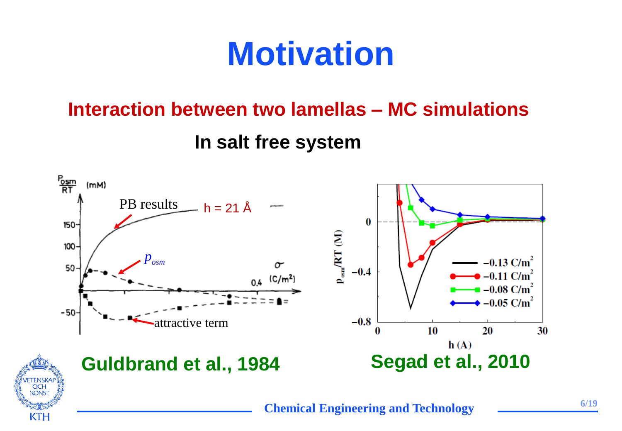#### **Interaction between two lamellas – MC simulations**

**In salt free system**



**KONST** 

**KTH**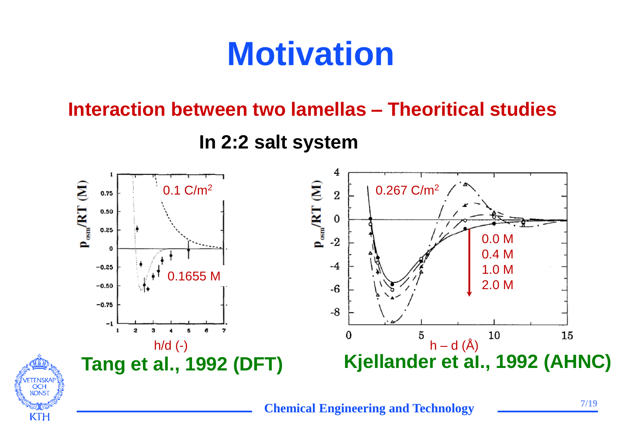#### **Interaction between two lamellas – Theoritical studies**

**In 2:2 salt system**

**KONST** 

**KTH** 

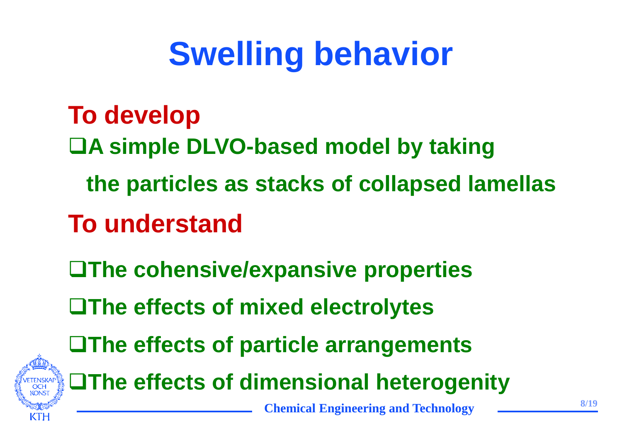# **Swelling behavior**

### **To develop**

- **A simple DLVO-based model by taking** 
	- **the particles as stacks of collapsed lamellas**

### **To understand**

- **The cohensive/expansive properties**
- **The effects of mixed electrolytes**



**The effects of particle arrangements**

**The effects of dimensional heterogenity**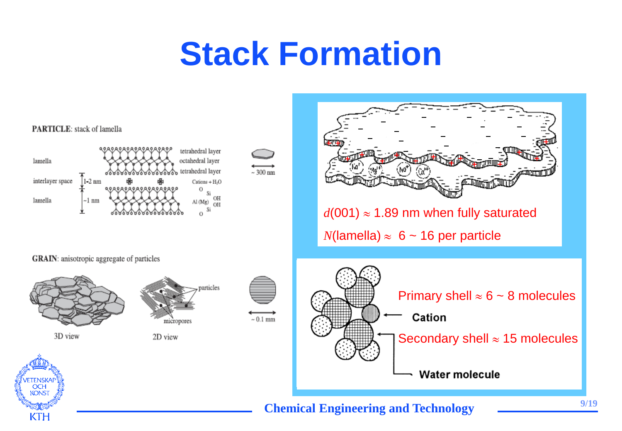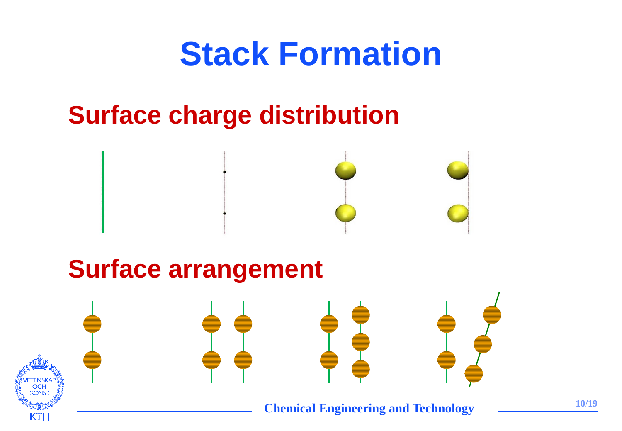### **Surface charge distribution**



### **Surface arrangement**



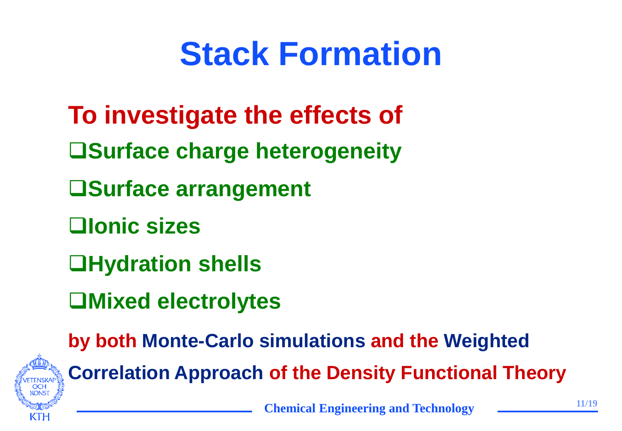- **To investigate the effects of**
- **Surface charge heterogeneity**
- **Surface arrangement**
- **Ionic sizes**
- **Hydration shells**
- **Mixed electrolytes**



**by both Monte-Carlo simulations and the Weighted** 

**Correlation Approach of the Density Functional Theory**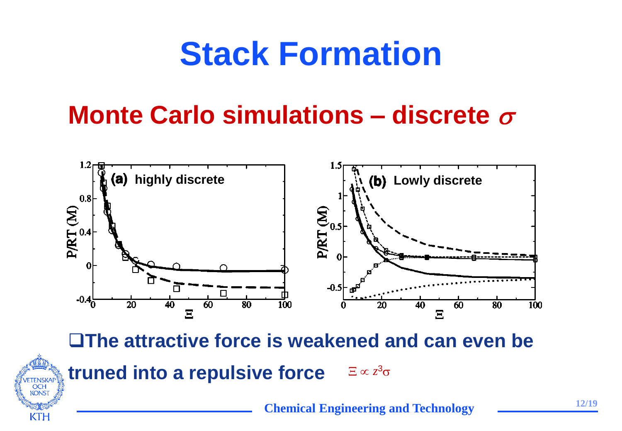#### **Monte Carlo simulations – discrete**



**The attractive force is weakened and can even be truned into a repulsive force** *z* 3

**ETENSKA OCH KONS** 

KTH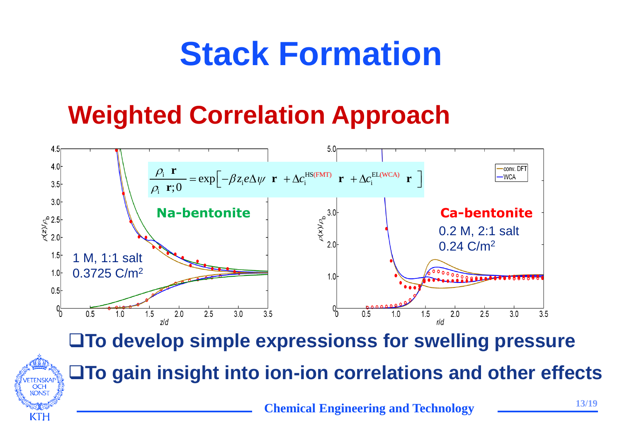### **Weighted Correlation Approach**



**To develop simple expressionss for swelling pressure**



**To gain insight into ion-ion correlations and other effects**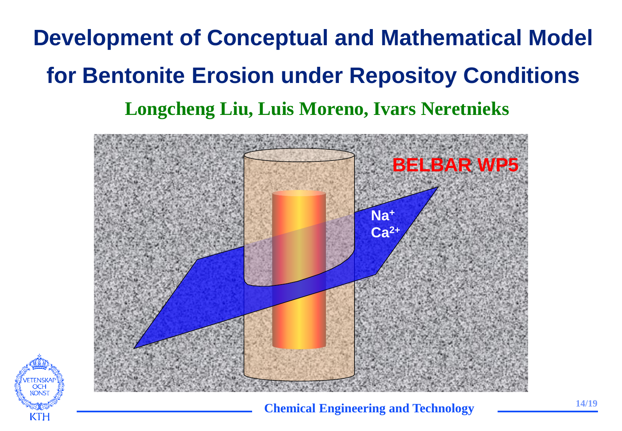### **Development of Conceptual and Mathematical Model for Bentonite Erosion under Repositoy Conditions Longcheng Liu, Luis Moreno, Ivars Neretnieks**





**Chemical Engineering and Technology**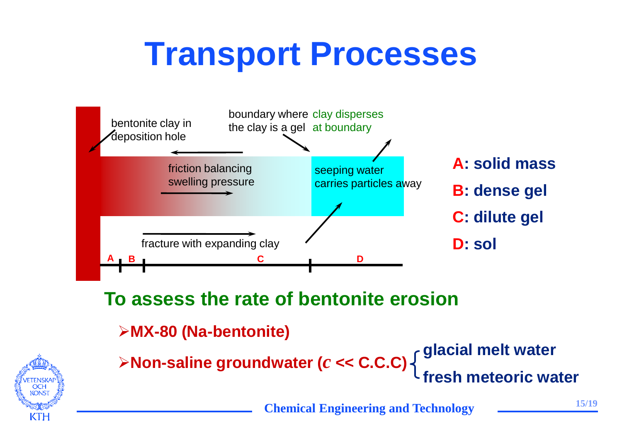# **Transport Processes**



#### **To assess the rate of bentonite erosion**

```
MX-80 (Na-bentonite)
```


**Non-saline groundwater (***c* **<< C.C.C) glacial melt water fresh meteoric water**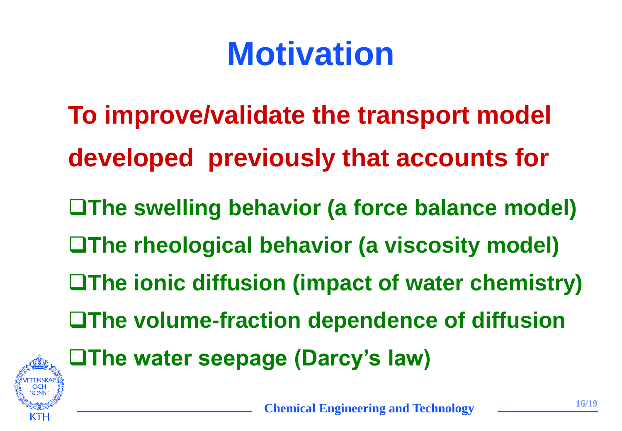**The swelling behavior (a force balance model) The rheological behavior (a viscosity model) The ionic diffusion (impact of water chemistry) The volume-fraction dependence of diffusion The water seepage (Darcy's law) To improve/validate the transport model developed previously that accounts for**

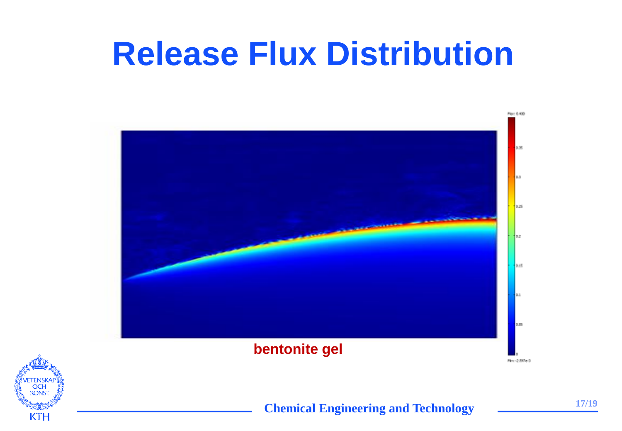### **Release Flux Distribution**



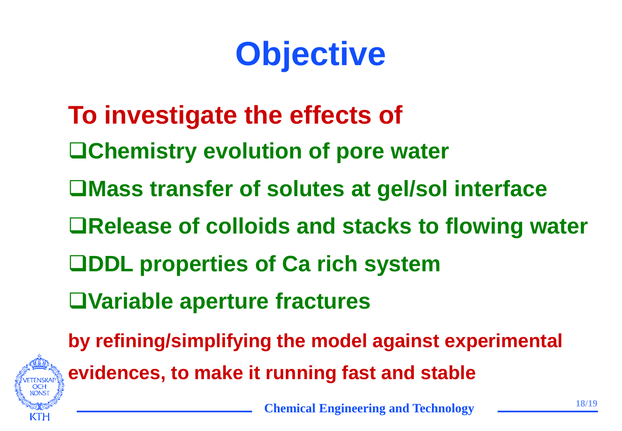# **Objective**

- **To investigate the effects of**
- **Chemistry evolution of pore water**
- **Mass transfer of solutes at gel/sol interface**
- **Example 23 A Release of colloids and stacks to flowing water**
- **DDL properties of Ca rich system**
- **Variable aperture fractures**

**KONS** 

KTH